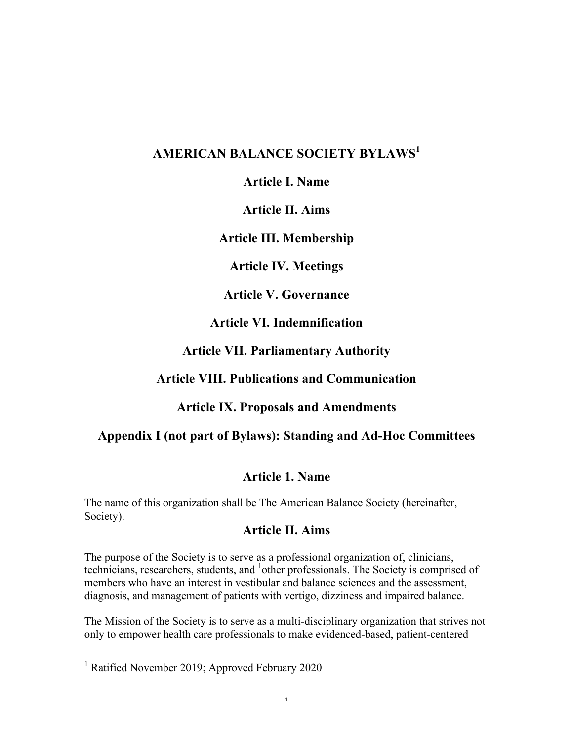# **AMERICAN BALANCE SOCIETY BYLAWS<sup>1</sup>**

**Article I. Name**

**Article II. Aims**

**Article III. Membership**

**Article IV. Meetings**

**Article V. Governance**

**Article VI. Indemnification**

**Article VII. Parliamentary Authority**

## **Article VIII. Publications and Communication**

## **Article IX. Proposals and Amendments**

## **Appendix I (not part of Bylaws): Standing and Ad-Hoc Committees**

## **Article 1. Name**

The name of this organization shall be The American Balance Society (hereinafter, Society).

### **Article II. Aims**

The purpose of the Society is to serve as a professional organization of, clinicians, technicians, researchers, students, and <sup>1</sup>other professionals. The Society is comprised of members who have an interest in vestibular and balance sciences and the assessment, diagnosis, and management of patients with vertigo, dizziness and impaired balance.

The Mission of the Society is to serve as a multi-disciplinary organization that strives not only to empower health care professionals to make evidenced-based, patient-centered

<sup>&</sup>lt;sup>1</sup> Ratified November 2019; Approved February 2020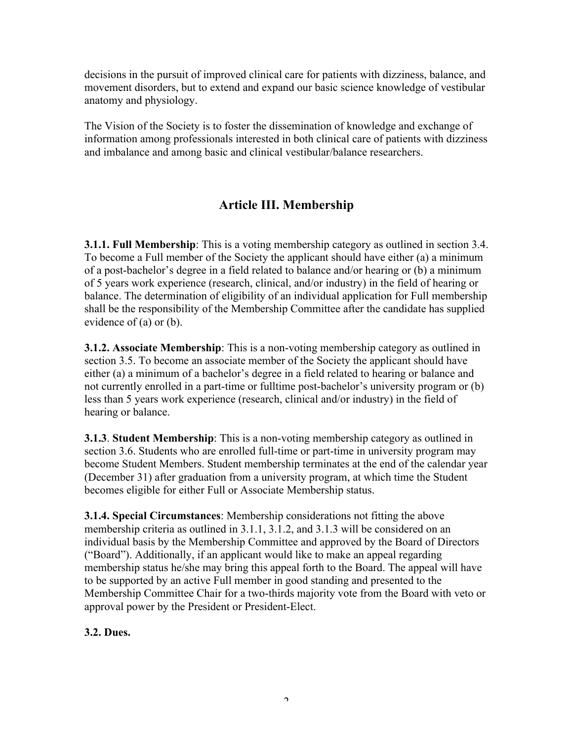decisions in the pursuit of improved clinical care for patients with dizziness, balance, and movement disorders, but to extend and expand our basic science knowledge of vestibular anatomy and physiology.

The Vision of the Society is to foster the dissemination of knowledge and exchange of information among professionals interested in both clinical care of patients with dizziness and imbalance and among basic and clinical vestibular/balance researchers.

# **Article III. Membership**

**3.1.1. Full Membership**: This is a voting membership category as outlined in section 3.4. To become a Full member of the Society the applicant should have either (a) a minimum of a post-bachelor's degree in a field related to balance and/or hearing or (b) a minimum of 5 years work experience (research, clinical, and/or industry) in the field of hearing or balance. The determination of eligibility of an individual application for Full membership shall be the responsibility of the Membership Committee after the candidate has supplied evidence of (a) or (b).

**3.1.2. Associate Membership**: This is a non-voting membership category as outlined in section 3.5. To become an associate member of the Society the applicant should have either (a) a minimum of a bachelor's degree in a field related to hearing or balance and not currently enrolled in a part-time or fulltime post-bachelor's university program or (b) less than 5 years work experience (research, clinical and/or industry) in the field of hearing or balance.

**3.1.3**. **Student Membership**: This is a non-voting membership category as outlined in section 3.6. Students who are enrolled full-time or part-time in university program may become Student Members. Student membership terminates at the end of the calendar year (December 31) after graduation from a university program, at which time the Student becomes eligible for either Full or Associate Membership status.

**3.1.4. Special Circumstances**: Membership considerations not fitting the above membership criteria as outlined in 3.1.1, 3.1.2, and 3.1.3 will be considered on an individual basis by the Membership Committee and approved by the Board of Directors ("Board"). Additionally, if an applicant would like to make an appeal regarding membership status he/she may bring this appeal forth to the Board. The appeal will have to be supported by an active Full member in good standing and presented to the Membership Committee Chair for a two-thirds majority vote from the Board with veto or approval power by the President or President-Elect.

### **3.2. Dues.**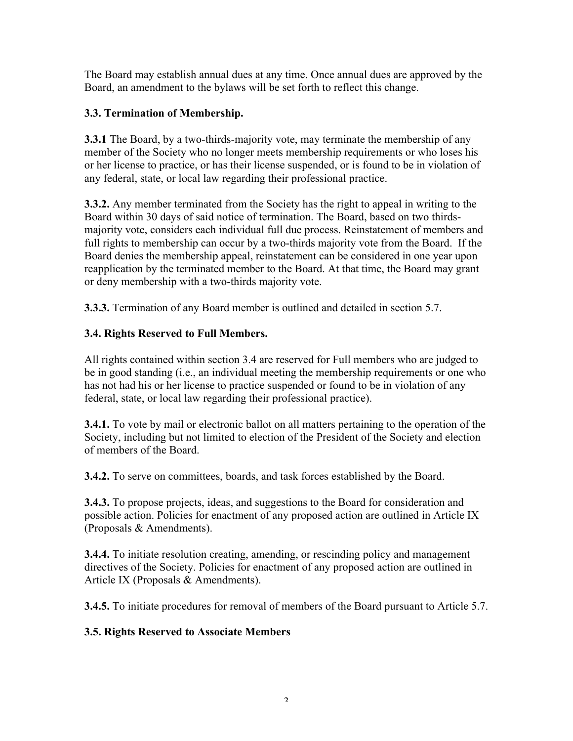The Board may establish annual dues at any time. Once annual dues are approved by the Board, an amendment to the bylaws will be set forth to reflect this change.

### **3.3. Termination of Membership.**

**3.3.1** The Board, by a two-thirds-majority vote, may terminate the membership of any member of the Society who no longer meets membership requirements or who loses his or her license to practice, or has their license suspended, or is found to be in violation of any federal, state, or local law regarding their professional practice.

**3.3.2.** Any member terminated from the Society has the right to appeal in writing to the Board within 30 days of said notice of termination. The Board, based on two thirdsmajority vote, considers each individual full due process. Reinstatement of members and full rights to membership can occur by a two-thirds majority vote from the Board. If the Board denies the membership appeal, reinstatement can be considered in one year upon reapplication by the terminated member to the Board. At that time, the Board may grant or deny membership with a two-thirds majority vote.

**3.3.3.** Termination of any Board member is outlined and detailed in section 5.7.

## **3.4. Rights Reserved to Full Members.**

All rights contained within section 3.4 are reserved for Full members who are judged to be in good standing (i.e., an individual meeting the membership requirements or one who has not had his or her license to practice suspended or found to be in violation of any federal, state, or local law regarding their professional practice).

**3.4.1.** To vote by mail or electronic ballot on all matters pertaining to the operation of the Society, including but not limited to election of the President of the Society and election of members of the Board.

**3.4.2.** To serve on committees, boards, and task forces established by the Board.

**3.4.3.** To propose projects, ideas, and suggestions to the Board for consideration and possible action. Policies for enactment of any proposed action are outlined in Article IX (Proposals & Amendments).

**3.4.4.** To initiate resolution creating, amending, or rescinding policy and management directives of the Society. Policies for enactment of any proposed action are outlined in Article IX (Proposals & Amendments).

**3.4.5.** To initiate procedures for removal of members of the Board pursuant to Article 5.7.

## **3.5. Rights Reserved to Associate Members**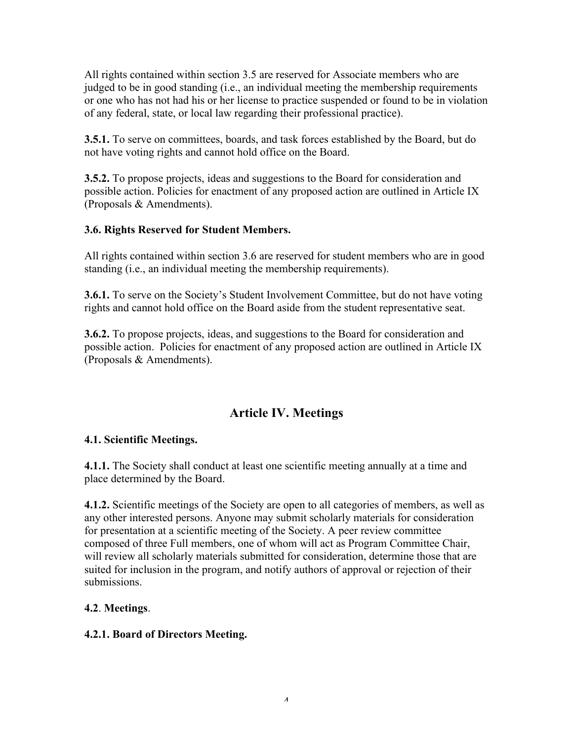All rights contained within section 3.5 are reserved for Associate members who are judged to be in good standing (i.e., an individual meeting the membership requirements or one who has not had his or her license to practice suspended or found to be in violation of any federal, state, or local law regarding their professional practice).

**3.5.1.** To serve on committees, boards, and task forces established by the Board, but do not have voting rights and cannot hold office on the Board.

**3.5.2.** To propose projects, ideas and suggestions to the Board for consideration and possible action. Policies for enactment of any proposed action are outlined in Article IX (Proposals & Amendments).

### **3.6. Rights Reserved for Student Members.**

All rights contained within section 3.6 are reserved for student members who are in good standing (i.e., an individual meeting the membership requirements).

**3.6.1.** To serve on the Society's Student Involvement Committee, but do not have voting rights and cannot hold office on the Board aside from the student representative seat.

**3.6.2.** To propose projects, ideas, and suggestions to the Board for consideration and possible action. Policies for enactment of any proposed action are outlined in Article IX (Proposals & Amendments).

## **Article IV. Meetings**

#### **4.1. Scientific Meetings.**

**4.1.1.** The Society shall conduct at least one scientific meeting annually at a time and place determined by the Board.

**4.1.2.** Scientific meetings of the Society are open to all categories of members, as well as any other interested persons. Anyone may submit scholarly materials for consideration for presentation at a scientific meeting of the Society. A peer review committee composed of three Full members, one of whom will act as Program Committee Chair, will review all scholarly materials submitted for consideration, determine those that are suited for inclusion in the program, and notify authors of approval or rejection of their submissions.

### **4.2**. **Meetings**.

#### **4.2.1. Board of Directors Meeting.**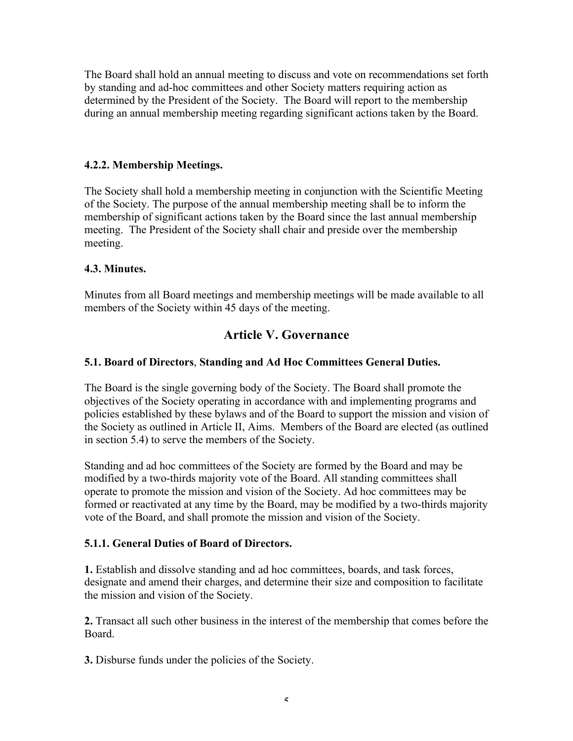The Board shall hold an annual meeting to discuss and vote on recommendations set forth by standing and ad-hoc committees and other Society matters requiring action as determined by the President of the Society. The Board will report to the membership during an annual membership meeting regarding significant actions taken by the Board.

#### **4.2.2. Membership Meetings.**

The Society shall hold a membership meeting in conjunction with the Scientific Meeting of the Society. The purpose of the annual membership meeting shall be to inform the membership of significant actions taken by the Board since the last annual membership meeting. The President of the Society shall chair and preside over the membership meeting.

#### **4.3. Minutes.**

Minutes from all Board meetings and membership meetings will be made available to all members of the Society within 45 days of the meeting.

## **Article V. Governance**

### **5.1. Board of Directors**, **Standing and Ad Hoc Committees General Duties.**

The Board is the single governing body of the Society. The Board shall promote the objectives of the Society operating in accordance with and implementing programs and policies established by these bylaws and of the Board to support the mission and vision of the Society as outlined in Article II, Aims. Members of the Board are elected (as outlined in section 5.4) to serve the members of the Society.

Standing and ad hoc committees of the Society are formed by the Board and may be modified by a two-thirds majority vote of the Board. All standing committees shall operate to promote the mission and vision of the Society. Ad hoc committees may be formed or reactivated at any time by the Board, may be modified by a two-thirds majority vote of the Board, and shall promote the mission and vision of the Society.

#### **5.1.1. General Duties of Board of Directors.**

**1.** Establish and dissolve standing and ad hoc committees, boards, and task forces, designate and amend their charges, and determine their size and composition to facilitate the mission and vision of the Society.

**2.** Transact all such other business in the interest of the membership that comes before the Board.

**3.** Disburse funds under the policies of the Society.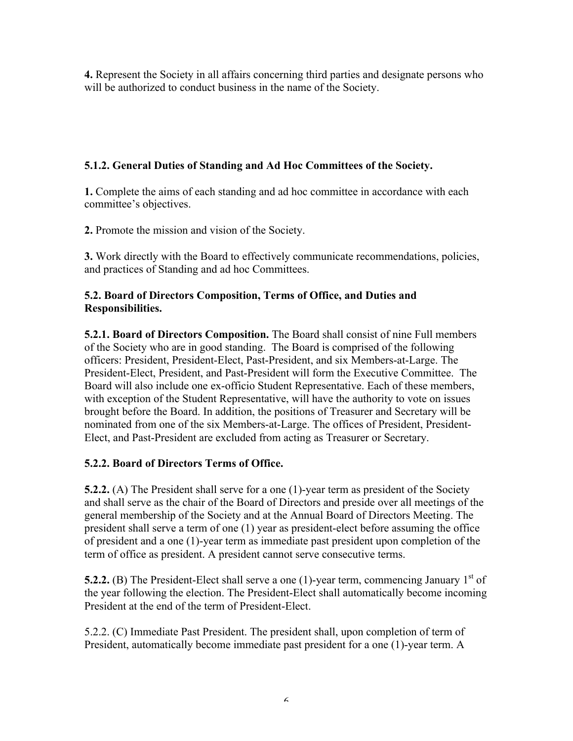**4.** Represent the Society in all affairs concerning third parties and designate persons who will be authorized to conduct business in the name of the Society.

### **5.1.2. General Duties of Standing and Ad Hoc Committees of the Society.**

**1.** Complete the aims of each standing and ad hoc committee in accordance with each committee's objectives.

**2.** Promote the mission and vision of the Society.

**3.** Work directly with the Board to effectively communicate recommendations, policies, and practices of Standing and ad hoc Committees.

### **5.2. Board of Directors Composition, Terms of Office, and Duties and Responsibilities.**

**5.2.1. Board of Directors Composition.** The Board shall consist of nine Full members of the Society who are in good standing. The Board is comprised of the following officers: President, President-Elect, Past-President, and six Members-at-Large. The President-Elect, President, and Past-President will form the Executive Committee. The Board will also include one ex-officio Student Representative. Each of these members, with exception of the Student Representative, will have the authority to vote on issues brought before the Board. In addition, the positions of Treasurer and Secretary will be nominated from one of the six Members-at-Large. The offices of President, President-Elect, and Past-President are excluded from acting as Treasurer or Secretary.

### **5.2.2. Board of Directors Terms of Office.**

**5.2.2.** (A) The President shall serve for a one (1)-year term as president of the Society and shall serve as the chair of the Board of Directors and preside over all meetings of the general membership of the Society and at the Annual Board of Directors Meeting. The president shall serve a term of one (1) year as president-elect before assuming the office of president and a one (1)-year term as immediate past president upon completion of the term of office as president. A president cannot serve consecutive terms.

**5.2.2.** (B) The President-Elect shall serve a one (1)-year term, commencing January  $1<sup>st</sup>$  of the year following the election. The President-Elect shall automatically become incoming President at the end of the term of President-Elect.

5.2.2. (C) Immediate Past President. The president shall, upon completion of term of President, automatically become immediate past president for a one (1)-year term. A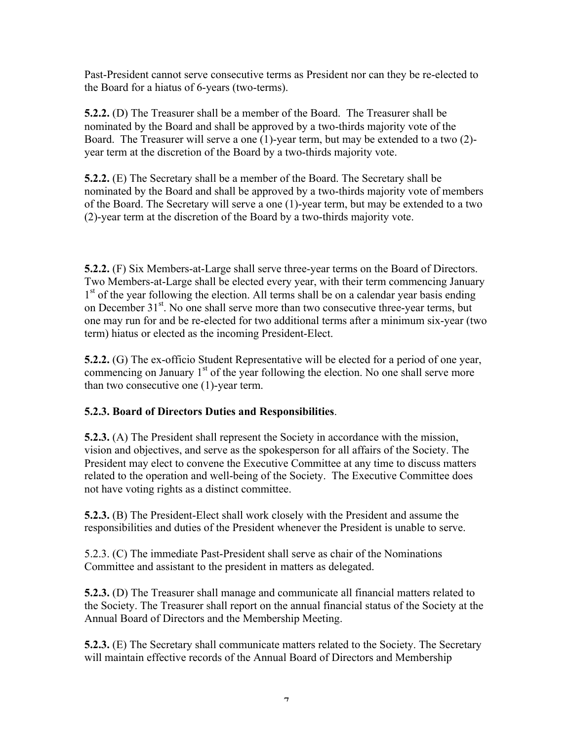Past-President cannot serve consecutive terms as President nor can they be re-elected to the Board for a hiatus of 6-years (two-terms).

**5.2.2.** (D) The Treasurer shall be a member of the Board. The Treasurer shall be nominated by the Board and shall be approved by a two-thirds majority vote of the Board. The Treasurer will serve a one (1)-year term, but may be extended to a two (2) year term at the discretion of the Board by a two-thirds majority vote.

**5.2.2.** (E) The Secretary shall be a member of the Board. The Secretary shall be nominated by the Board and shall be approved by a two-thirds majority vote of members of the Board. The Secretary will serve a one (1)-year term, but may be extended to a two (2)-year term at the discretion of the Board by a two-thirds majority vote.

**5.2.2.** (F) Six Members-at-Large shall serve three-year terms on the Board of Directors. Two Members-at-Large shall be elected every year, with their term commencing January  $1<sup>st</sup>$  of the year following the election. All terms shall be on a calendar year basis ending on December 31<sup>st</sup>. No one shall serve more than two consecutive three-year terms, but one may run for and be re-elected for two additional terms after a minimum six-year (two term) hiatus or elected as the incoming President-Elect.

**5.2.2.** (G) The ex-officio Student Representative will be elected for a period of one year, commencing on January  $1<sup>st</sup>$  of the year following the election. No one shall serve more than two consecutive one (1)-year term.

## **5.2.3. Board of Directors Duties and Responsibilities**.

**5.2.3.** (A) The President shall represent the Society in accordance with the mission, vision and objectives, and serve as the spokesperson for all affairs of the Society. The President may elect to convene the Executive Committee at any time to discuss matters related to the operation and well-being of the Society. The Executive Committee does not have voting rights as a distinct committee.

**5.2.3.** (B) The President-Elect shall work closely with the President and assume the responsibilities and duties of the President whenever the President is unable to serve.

5.2.3. (C) The immediate Past-President shall serve as chair of the Nominations Committee and assistant to the president in matters as delegated.

**5.2.3.** (D) The Treasurer shall manage and communicate all financial matters related to the Society. The Treasurer shall report on the annual financial status of the Society at the Annual Board of Directors and the Membership Meeting.

**5.2.3.** (E) The Secretary shall communicate matters related to the Society. The Secretary will maintain effective records of the Annual Board of Directors and Membership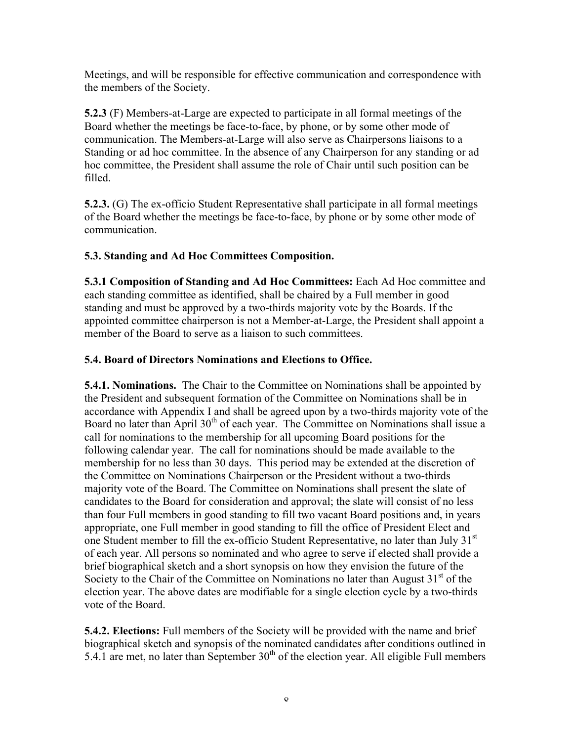Meetings, and will be responsible for effective communication and correspondence with the members of the Society.

**5.2.3** (F) Members-at-Large are expected to participate in all formal meetings of the Board whether the meetings be face-to-face, by phone, or by some other mode of communication. The Members-at-Large will also serve as Chairpersons liaisons to a Standing or ad hoc committee. In the absence of any Chairperson for any standing or ad hoc committee, the President shall assume the role of Chair until such position can be filled.

**5.2.3.** (G) The ex-officio Student Representative shall participate in all formal meetings of the Board whether the meetings be face-to-face, by phone or by some other mode of communication.

### **5.3. Standing and Ad Hoc Committees Composition.**

**5.3.1 Composition of Standing and Ad Hoc Committees:** Each Ad Hoc committee and each standing committee as identified, shall be chaired by a Full member in good standing and must be approved by a two-thirds majority vote by the Boards. If the appointed committee chairperson is not a Member-at-Large, the President shall appoint a member of the Board to serve as a liaison to such committees.

### **5.4. Board of Directors Nominations and Elections to Office.**

**5.4.1. Nominations.** The Chair to the Committee on Nominations shall be appointed by the President and subsequent formation of the Committee on Nominations shall be in accordance with Appendix I and shall be agreed upon by a two-thirds majority vote of the Board no later than April 30<sup>th</sup> of each year. The Committee on Nominations shall issue a call for nominations to the membership for all upcoming Board positions for the following calendar year. The call for nominations should be made available to the membership for no less than 30 days.This period may be extended at the discretion of the Committee on Nominations Chairperson or the President without a two-thirds majority vote of the Board. The Committee on Nominations shall present the slate of candidates to the Board for consideration and approval; the slate will consist of no less than four Full members in good standing to fill two vacant Board positions and, in years appropriate, one Full member in good standing to fill the office of President Elect and one Student member to fill the ex-officio Student Representative, no later than July 31<sup>st</sup> of each year. All persons so nominated and who agree to serve if elected shall provide a brief biographical sketch and a short synopsis on how they envision the future of the Society to the Chair of the Committee on Nominations no later than August  $31<sup>st</sup>$  of the election year. The above dates are modifiable for a single election cycle by a two-thirds vote of the Board.

**5.4.2. Elections:** Full members of the Society will be provided with the name and brief biographical sketch and synopsis of the nominated candidates after conditions outlined in 5.4.1 are met, no later than September  $30<sup>th</sup>$  of the election year. All eligible Full members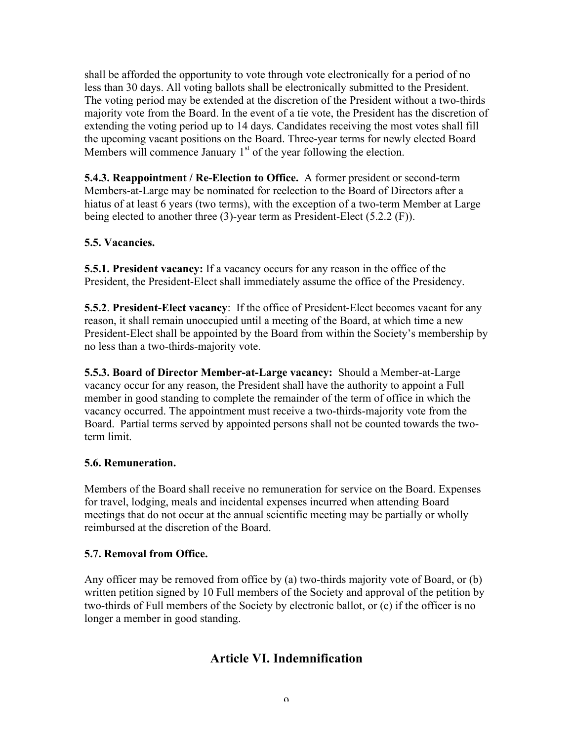shall be afforded the opportunity to vote through vote electronically for a period of no less than 30 days. All voting ballots shall be electronically submitted to the President. The voting period may be extended at the discretion of the President without a two-thirds majority vote from the Board. In the event of a tie vote, the President has the discretion of extending the voting period up to 14 days. Candidates receiving the most votes shall fill the upcoming vacant positions on the Board. Three-year terms for newly elected Board Members will commence January  $1<sup>st</sup>$  of the year following the election.

**5.4.3. Reappointment / Re-Election to Office.** A former president or second-term Members-at-Large may be nominated for reelection to the Board of Directors after a hiatus of at least 6 years (two terms), with the exception of a two-term Member at Large being elected to another three (3)-year term as President-Elect (5.2.2 (F)).

### **5.5. Vacancies.**

**5.5.1. President vacancy:** If a vacancy occurs for any reason in the office of the President, the President-Elect shall immediately assume the office of the Presidency.

**5.5.2**. **President-Elect vacancy**: If the office of President-Elect becomes vacant for any reason, it shall remain unoccupied until a meeting of the Board, at which time a new President-Elect shall be appointed by the Board from within the Society's membership by no less than a two-thirds-majority vote.

**5.5.3. Board of Director Member-at-Large vacancy:** Should a Member-at-Large vacancy occur for any reason, the President shall have the authority to appoint a Full member in good standing to complete the remainder of the term of office in which the vacancy occurred. The appointment must receive a two-thirds-majority vote from the Board. Partial terms served by appointed persons shall not be counted towards the twoterm limit.

### **5.6. Remuneration.**

Members of the Board shall receive no remuneration for service on the Board. Expenses for travel, lodging, meals and incidental expenses incurred when attending Board meetings that do not occur at the annual scientific meeting may be partially or wholly reimbursed at the discretion of the Board.

#### **5.7. Removal from Office.**

Any officer may be removed from office by (a) two-thirds majority vote of Board, or (b) written petition signed by 10 Full members of the Society and approval of the petition by two-thirds of Full members of the Society by electronic ballot, or (c) if the officer is no longer a member in good standing.

## **Article VI. Indemnification**